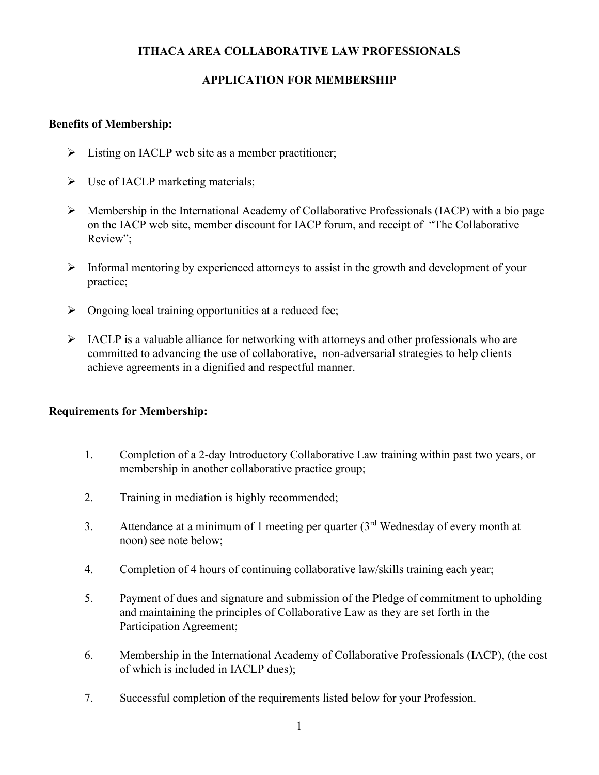## **ITHACA AREA COLLABORATIVE LAW PROFESSIONALS**

# **APPLICATION FOR MEMBERSHIP**

## **Benefits of Membership:**

- $\triangleright$  Listing on IACLP web site as a member practitioner;
- $\triangleright$  Use of IACLP marketing materials;
- ➢ Membership in the International Academy of Collaborative Professionals (IACP) with a bio page on the IACP web site, member discount for IACP forum, and receipt of "The Collaborative Review";
- ➢ Informal mentoring by experienced attorneys to assist in the growth and development of your practice;
- ➢ Ongoing local training opportunities at a reduced fee;
- $\triangleright$  IACLP is a valuable alliance for networking with attorneys and other professionals who are committed to advancing the use of collaborative, non-adversarial strategies to help clients achieve agreements in a dignified and respectful manner.

#### **Requirements for Membership:**

- 1. Completion of a 2-day Introductory Collaborative Law training within past two years, or membership in another collaborative practice group;
- 2. Training in mediation is highly recommended;
- 3. Attendance at a minimum of 1 meeting per quarter  $(3<sup>rd</sup>$  Wednesday of every month at noon) see note below;
- 4. Completion of 4 hours of continuing collaborative law/skills training each year;
- 5. Payment of dues and signature and submission of the Pledge of commitment to upholding and maintaining the principles of Collaborative Law as they are set forth in the Participation Agreement;
- 6. Membership in the International Academy of Collaborative Professionals (IACP), (the cost of which is included in IACLP dues);
- 7. Successful completion of the requirements listed below for your Profession.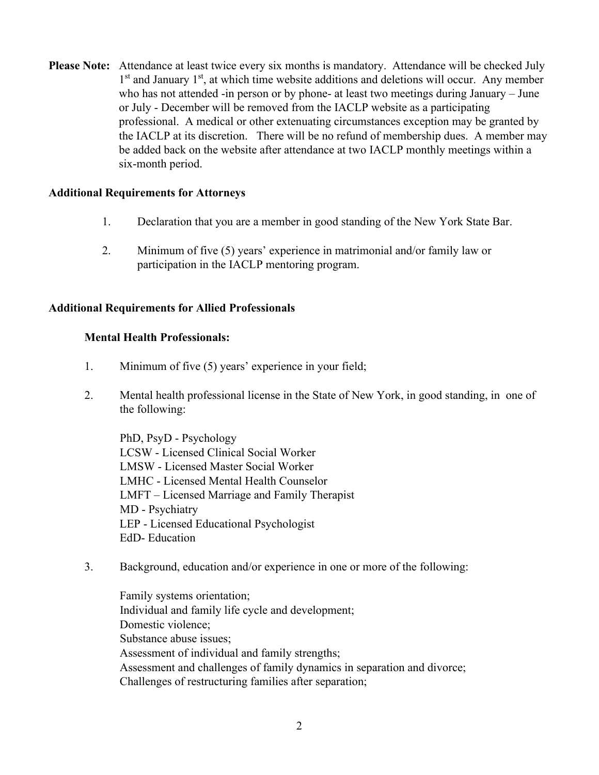**Please Note:** Attendance at least twice every six months is mandatory. Attendance will be checked July 1<sup>st</sup> and January 1<sup>st</sup>, at which time website additions and deletions will occur. Any member who has not attended -in person or by phone- at least two meetings during January – June or July - December will be removed from the IACLP website as a participating professional. A medical or other extenuating circumstances exception may be granted by the IACLP at its discretion. There will be no refund of membership dues. A member may be added back on the website after attendance at two IACLP monthly meetings within a six-month period.

#### **Additional Requirements for Attorneys**

- 1. Declaration that you are a member in good standing of the New York State Bar.
- 2. Minimum of five (5) years' experience in matrimonial and/or family law or participation in the IACLP mentoring program.

#### **Additional Requirements for Allied Professionals**

#### **Mental Health Professionals:**

- 1. Minimum of five (5) years' experience in your field;
- 2. Mental health professional license in the State of New York, in good standing, in one of the following:

PhD, PsyD - Psychology LCSW - Licensed Clinical Social Worker LMSW - Licensed Master Social Worker LMHC - Licensed Mental Health Counselor LMFT – Licensed Marriage and Family Therapist MD - Psychiatry LEP - Licensed Educational Psychologist EdD- Education

3. Background, education and/or experience in one or more of the following:

Family systems orientation; Individual and family life cycle and development; Domestic violence; Substance abuse issues; Assessment of individual and family strengths; Assessment and challenges of family dynamics in separation and divorce; Challenges of restructuring families after separation;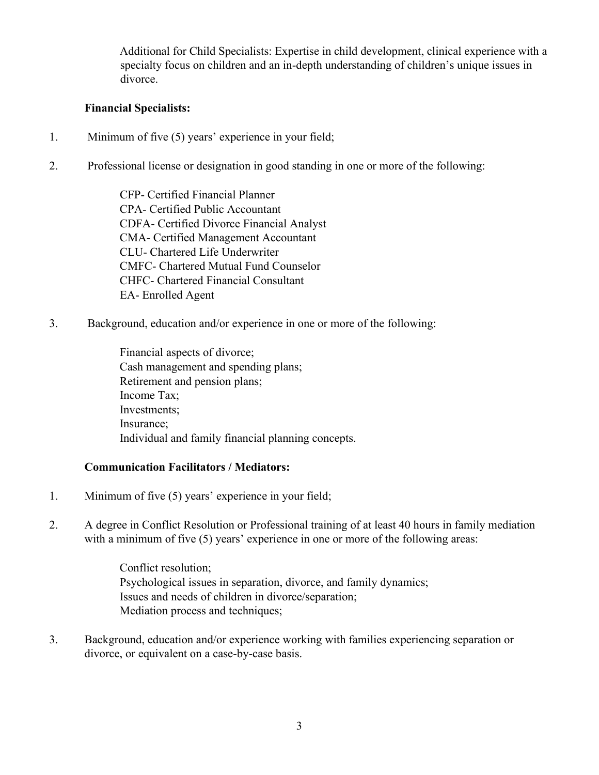Additional for Child Specialists: Expertise in child development, clinical experience with a specialty focus on children and an in-depth understanding of children's unique issues in divorce.

## **Financial Specialists:**

- 1. Minimum of five (5) years' experience in your field;
- 2. Professional license or designation in good standing in one or more of the following:

CFP- Certified Financial Planner CPA- Certified Public Accountant CDFA- Certified Divorce Financial Analyst CMA- Certified Management Accountant CLU- Chartered Life Underwriter CMFC- Chartered Mutual Fund Counselor CHFC- Chartered Financial Consultant EA- Enrolled Agent

3. Background, education and/or experience in one or more of the following:

Financial aspects of divorce; Cash management and spending plans; Retirement and pension plans; Income Tax; Investments; Insurance; Individual and family financial planning concepts.

#### **Communication Facilitators / Mediators:**

- 1. Minimum of five (5) years' experience in your field;
- 2. A degree in Conflict Resolution or Professional training of at least 40 hours in family mediation with a minimum of five (5) years' experience in one or more of the following areas:

Conflict resolution; Psychological issues in separation, divorce, and family dynamics; Issues and needs of children in divorce/separation; Mediation process and techniques;

3. Background, education and/or experience working with families experiencing separation or divorce, or equivalent on a case-by-case basis.